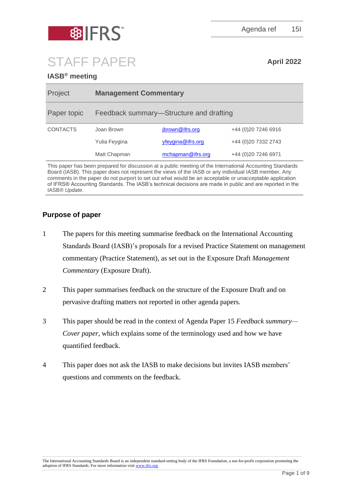

Agenda ref 15I

# STAFF PAPER **April 2022**

# **IASB® meeting**

| Project         | <b>Management Commentary</b>            |                   |                      |
|-----------------|-----------------------------------------|-------------------|----------------------|
| Paper topic     | Feedback summary—Structure and drafting |                   |                      |
| <b>CONTACTS</b> | Joan Brown                              | jbrown@ifrs.org   | +44 (0) 20 7246 6916 |
|                 | Yulia Feygina                           | yfeygina@ifrs.org | +44 (0)20 7332 2743  |
|                 | Matt Chapman                            | mchapman@ifrs.org | +44 (0) 20 7246 6971 |
|                 |                                         |                   |                      |

This paper has been prepared for discussion at a public meeting of the International Accounting Standards Board (IASB). This paper does not represent the views of the IASB or any individual IASB member. Any comments in the paper do not purport to set out what would be an acceptable or unacceptable application of IFRS® Accounting Standards. The IASB's technical decisions are made in public and are reported in the IASB® *Update*.

# **Purpose of paper**

- 1 The papers for this meeting summarise feedback on the International Accounting Standards Board (IASB)'s proposals for a revised Practice Statement on management commentary (Practice Statement), as set out in the Exposure Draft *Management Commentary* (Exposure Draft).
- 2 This paper summarises feedback on the structure of the Exposure Draft and on pervasive drafting matters not reported in other agenda papers.
- 3 This paper should be read in the context of Agenda Paper 15 *Feedback summary— Cover paper*, which explains some of the terminology used and how we have quantified feedback.
- 4 This paper does not ask the IASB to make decisions but invites IASB members' questions and comments on the feedback.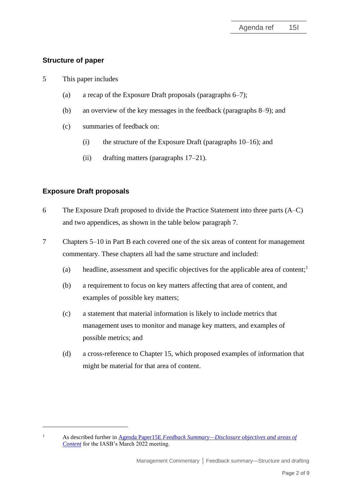# **Structure of paper**

- 5 This paper includes
	- (a) a recap of the Exposure Draft proposals (paragraphs [6](#page-1-0)[–7\)](#page-1-1);
	- (b) an overview of the key messages in the feedback (paragraphs [8](#page-3-0)[–9\)](#page-3-1); and
	- (c) summaries of feedback on:
		- (i) the structure of the Exposure Draft (paragraphs  $10-16$ ); and
		- (ii) drafting matters (paragraphs [17](#page-6-0)[–21\)](#page-8-0).

# **Exposure Draft proposals**

- <span id="page-1-0"></span>6 The Exposure Draft proposed to divide the Practice Statement into three parts (A–C) and two appendices, as shown in the table below paragraph [7.](#page-1-1)
- <span id="page-1-1"></span>7 Chapters 5–10 in Part B each covered one of the six areas of content for management commentary. These chapters all had the same structure and included:
	- (a) headline, assessment and specific objectives for the applicable area of content; 1
	- (b) a requirement to focus on key matters affecting that area of content, and examples of possible key matters;
	- (c) a statement that material information is likely to include metrics that management uses to monitor and manage key matters, and examples of possible metrics; and
	- (d) a cross-reference to Chapter 15, which proposed examples of information that might be material for that area of content.

<sup>1</sup> As described further in Agenda Paper15E *[Feedback Summary—Disclosure objectives and areas of](https://www.ifrs.org/content/dam/ifrs/meetings/2022/march/iasb/ap15e-disclosure-objectives-and-areas-of-content.pdf)  [Content](https://www.ifrs.org/content/dam/ifrs/meetings/2022/march/iasb/ap15e-disclosure-objectives-and-areas-of-content.pdf)* for the IASB's March 2022 meeting.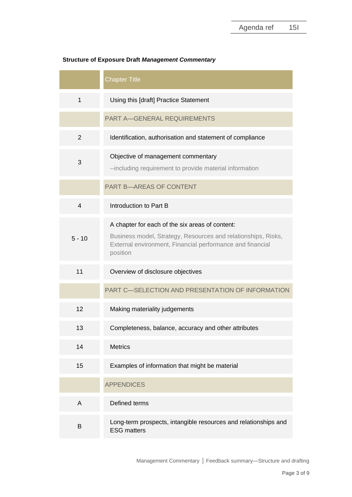|                | <b>Chapter Title</b>                                                                                                                                                                      |  |  |
|----------------|-------------------------------------------------------------------------------------------------------------------------------------------------------------------------------------------|--|--|
| $\mathbf{1}$   | Using this [draft] Practice Statement                                                                                                                                                     |  |  |
|                | <b>PART A-GENERAL REQUIREMENTS</b>                                                                                                                                                        |  |  |
| $\overline{2}$ | Identification, authorisation and statement of compliance                                                                                                                                 |  |  |
| 3              | Objective of management commentary<br>--including requirement to provide material information                                                                                             |  |  |
|                | <b>PART B-AREAS OF CONTENT</b>                                                                                                                                                            |  |  |
| $\overline{4}$ | Introduction to Part B                                                                                                                                                                    |  |  |
| $5 - 10$       | A chapter for each of the six areas of content:<br>Business model, Strategy, Resources and relationships, Risks,<br>External environment, Financial performance and financial<br>position |  |  |
| 11             | Overview of disclosure objectives                                                                                                                                                         |  |  |
|                | PART C-SELECTION AND PRESENTATION OF INFORMATION                                                                                                                                          |  |  |
| 12             | Making materiality judgements                                                                                                                                                             |  |  |
| 13             | Completeness, balance, accuracy and other attributes                                                                                                                                      |  |  |
| 14             | <b>Metrics</b>                                                                                                                                                                            |  |  |
| 15             | Examples of information that might be material                                                                                                                                            |  |  |
|                | <b>APPENDICES</b>                                                                                                                                                                         |  |  |
| A              | Defined terms                                                                                                                                                                             |  |  |
| B              | Long-term prospects, intangible resources and relationships and<br><b>ESG matters</b>                                                                                                     |  |  |

# **Structure of Exposure Draft** *Management Commentary*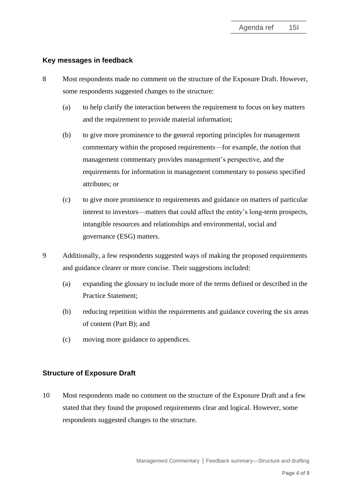### **Key messages in feedback**

- <span id="page-3-0"></span>8 Most respondents made no comment on the structure of the Exposure Draft. However, some respondents suggested changes to the structure:
	- (a) to help clarify the interaction between the requirement to focus on key matters and the requirement to provide material information;
	- (b) to give more prominence to the general reporting principles for management commentary within the proposed requirements—for example, the notion that management commentary provides management's perspective, and the requirements for information in management commentary to possess specified attributes; or
	- (c) to give more prominence to requirements and guidance on matters of particular interest to investors—matters that could affect the entity's long-term prospects, intangible resources and relationships and environmental, social and governance (ESG) matters.
- <span id="page-3-1"></span>9 Additionally, a few respondents suggested ways of making the proposed requirements and guidance clearer or more concise. Their suggestions included:
	- (a) expanding the glossary to include more of the terms defined or described in the Practice Statement;
	- (b) reducing repetition within the requirements and guidance covering the six areas of content (Part B); and
	- (c) moving more guidance to appendices.

## **Structure of Exposure Draft**

<span id="page-3-2"></span>10 Most respondents made no comment on the structure of the Exposure Draft and a few stated that they found the proposed requirements clear and logical. However, some respondents suggested changes to the structure.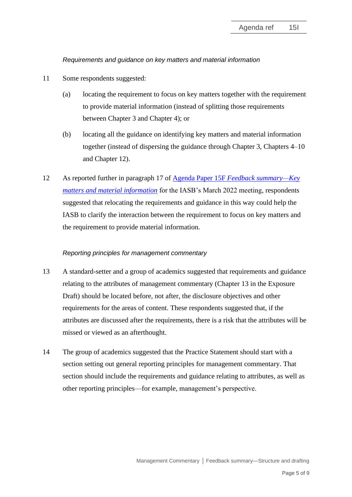## *Requirements and guidance on key matters and material information*

- 11 Some respondents suggested:
	- (a) locating the requirement to focus on key matters together with the requirement to provide material information (instead of splitting those requirements between Chapter 3 and Chapter 4); or
	- (b) locating all the guidance on identifying key matters and material information together (instead of dispersing the guidance through Chapter 3, Chapters 4–10 and Chapter 12).
- 12 As reported further in paragraph 17 of Agenda Paper 15F *[Feedback summary—Key](https://www.ifrs.org/content/dam/ifrs/meetings/2022/march/iasb/ap15f-key-matters-and-material-information.pdf)  [matters and material information](https://www.ifrs.org/content/dam/ifrs/meetings/2022/march/iasb/ap15f-key-matters-and-material-information.pdf)* for the IASB's March 2022 meeting, respondents suggested that relocating the requirements and guidance in this way could help the IASB to clarify the interaction between the requirement to focus on key matters and the requirement to provide material information.

### *Reporting principles for management commentary*

- 13 A standard-setter and a group of academics suggested that requirements and guidance relating to the attributes of management commentary (Chapter 13 in the Exposure Draft) should be located before, not after, the disclosure objectives and other requirements for the areas of content. These respondents suggested that, if the attributes are discussed after the requirements, there is a risk that the attributes will be missed or viewed as an afterthought.
- 14 The group of academics suggested that the Practice Statement should start with a section setting out general reporting principles for management commentary. That section should include the requirements and guidance relating to attributes, as well as other reporting principles—for example, management's perspective.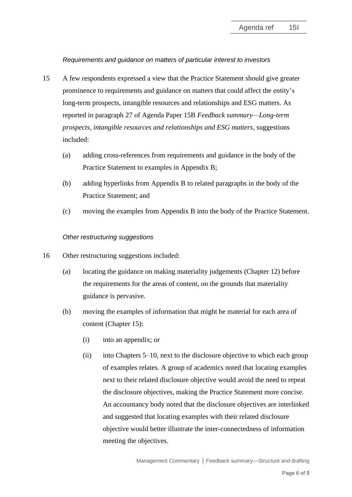## *Requirements and guidance on matters of particular interest to investors*

- 15 A few respondents expressed a view that the Practice Statement should give greater prominence to requirements and guidance on matters that could affect the entity's long-term prospects, intangible resources and relationships and ESG matters. As reported in paragraph 27 of Agenda Paper 15B *Feedback summary—Long-term prospects, intangible resources and relationships and ESG matters*, suggestions included:
	- (a) adding cross-references from requirements and guidance in the body of the Practice Statement to examples in Appendix B;
	- (b) adding hyperlinks from Appendix B to related paragraphs in the body of the Practice Statement; and
	- (c) moving the examples from Appendix B into the body of the Practice Statement.

### *Other restructuring suggestions*

- <span id="page-5-0"></span>16 Other restructuring suggestions included:
	- (a) locating the guidance on making materiality judgements (Chapter 12) before the requirements for the areas of content, on the grounds that materiality guidance is pervasive.
	- (b) moving the examples of information that might be material for each area of content (Chapter 15):
		- (i) into an appendix; or
		- (ii) into Chapters 5–10, next to the disclosure objective to which each group of examples relates. A group of academics noted that locating examples next to their related disclosure objective would avoid the need to repeat the disclosure objectives, making the Practice Statement more concise. An accountancy body noted that the disclosure objectives are interlinked and suggested that locating examples with their related disclosure objective would better illustrate the inter-connectedness of information meeting the objectives.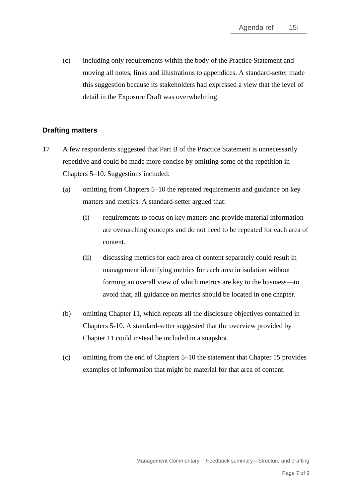(c) including only requirements within the body of the Practice Statement and moving all notes, links and illustrations to appendices. A standard-setter made this suggestion because its stakeholders had expressed a view that the level of detail in the Exposure Draft was overwhelming.

## **Drafting matters**

- <span id="page-6-0"></span>17 A few respondents suggested that Part B of the Practice Statement is unnecessarily repetitive and could be made more concise by omitting some of the repetition in Chapters 5–10. Suggestions included:
	- (a) omitting from Chapters 5–10 the repeated requirements and guidance on key matters and metrics. A standard-setter argued that:
		- (i) requirements to focus on key matters and provide material information are overarching concepts and do not need to be repeated for each area of content.
		- (ii) discussing metrics for each area of content separately could result in management identifying metrics for each area in isolation without forming an overall view of which metrics are key to the business—to avoid that, all guidance on metrics should be located in one chapter.
	- (b) omitting Chapter 11, which repeats all the disclosure objectives contained in Chapters 5-10. A standard-setter suggested that the overview provided by Chapter 11 could instead be included in a snapshot.
	- (c) omitting from the end of Chapters 5–10 the statement that Chapter 15 provides examples of information that might be material for that area of content.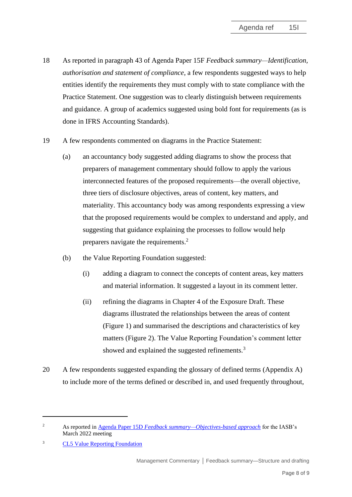- 18 As reported in paragraph 43 of Agenda Paper 15F *Feedback summary—Identification, authorisation and statement of compliance*, a few respondents suggested ways to help entities identify the requirements they must comply with to state compliance with the Practice Statement. One suggestion was to clearly distinguish between requirements and guidance. A group of academics suggested using bold font for requirements (as is done in IFRS Accounting Standards).
- 19 A few respondents commented on diagrams in the Practice Statement:
	- (a) an accountancy body suggested adding diagrams to show the process that preparers of management commentary should follow to apply the various interconnected features of the proposed requirements—the overall objective, three tiers of disclosure objectives, areas of content, key matters, and materiality. This accountancy body was among respondents expressing a view that the proposed requirements would be complex to understand and apply, and suggesting that guidance explaining the processes to follow would help preparers navigate the requirements.<sup>2</sup>
	- (b) the Value Reporting Foundation suggested:
		- (i) adding a diagram to connect the concepts of content areas, key matters and material information. It suggested a layout in its comment letter.
		- (ii) refining the diagrams in Chapter 4 of the Exposure Draft. These diagrams illustrated the relationships between the areas of content (Figure 1) and summarised the descriptions and characteristics of key matters (Figure 2). The Value Reporting Foundation's comment letter showed and explained the suggested refinements.<sup>3</sup>
- 20 A few respondents suggested expanding the glossary of defined terms (Appendix A) to include more of the terms defined or described in, and used frequently throughout,

<sup>2</sup> As reported in Agenda Paper 15D *[Feedback summary—Objectives-based approach](https://www.ifrs.org/content/dam/ifrs/meetings/2022/march/iasb/ap15d-objectives-based-approach.pdf)* for the IASB's March 2022 meeting

<sup>&</sup>lt;sup>3</sup> CL5 [Value Reporting Foundation](http://eifrs.ifrs.org/eifrs/comment_letters/591/591_29162_JonathanLabreyValueReportingFoundation_0_CL5ValueReportingFoundation.pdf)